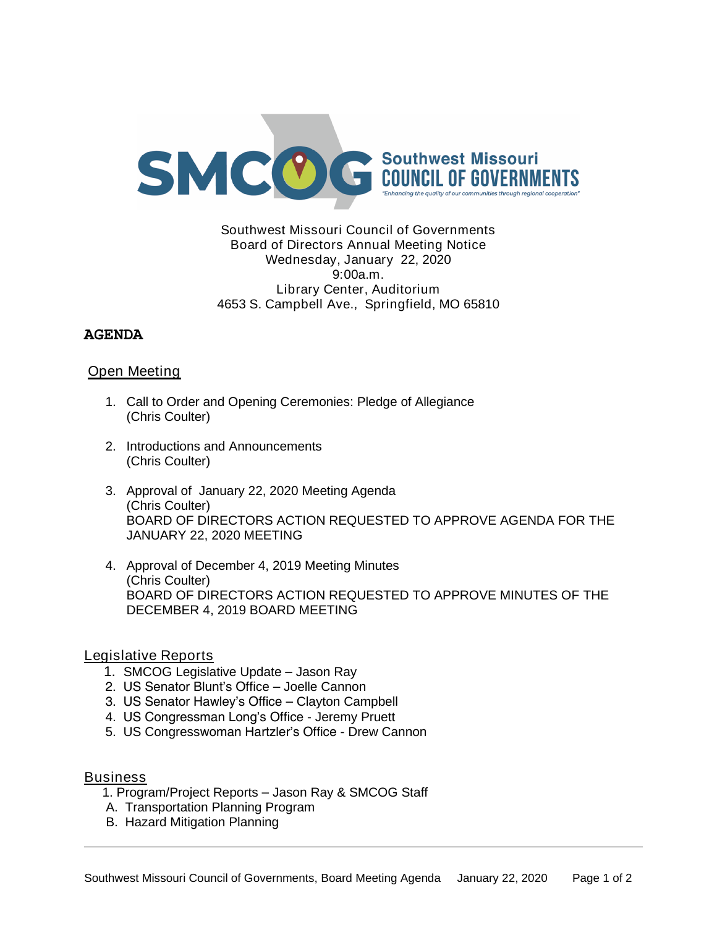

## Southwest Missouri Council of Governments Board of Directors Annual Meeting Notice Wednesday, January 22, 2020 9:00a.m. Library Center, Auditorium 4653 S. Campbell Ave., Springfield, MO 65810

## **AGENDA**

# Open Meeting

- 1. Call to Order and Opening Ceremonies: Pledge of Allegiance (Chris Coulter)
- 2. Introductions and Announcements (Chris Coulter)
- 3. Approval of January 22, 2020 Meeting Agenda (Chris Coulter) BOARD OF DIRECTORS ACTION REQUESTED TO APPROVE AGENDA FOR THE JANUARY 22, 2020 MEETING
- 4. Approval of December 4, 2019 Meeting Minutes (Chris Coulter) BOARD OF DIRECTORS ACTION REQUESTED TO APPROVE MINUTES OF THE DECEMBER 4, 2019 BOARD MEETING

#### Legislative Reports

- 1. SMCOG Legislative Update Jason Ray
- 2. US Senator Blunt's Office Joelle Cannon
- 3. US Senator Hawley's Office Clayton Campbell
- 4. US Congressman Long's Office Jeremy Pruett
- 5. US Congresswoman Hartzler's Office Drew Cannon

#### **Business**

- 1. Program/Project Reports Jason Ray & SMCOG Staff
- A. Transportation Planning Program
- B. Hazard Mitigation Planning